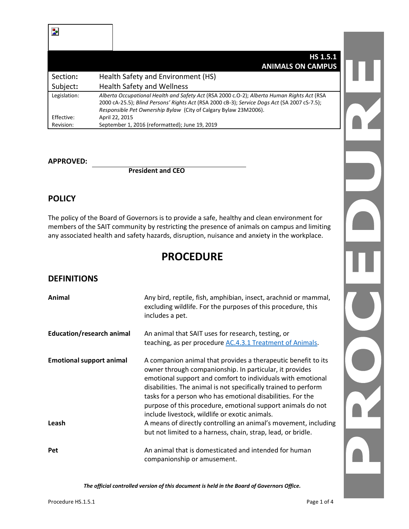|                         | <b>HS 1.5.1</b><br><b>ANIMALS ON CAMPUS</b>                                                                                                                                                                                                                    |
|-------------------------|----------------------------------------------------------------------------------------------------------------------------------------------------------------------------------------------------------------------------------------------------------------|
| Section:                | Health Safety and Environment (HS)                                                                                                                                                                                                                             |
| Subject:                | <b>Health Safety and Wellness</b>                                                                                                                                                                                                                              |
| Legislation:            | Alberta Occupational Health and Safety Act (RSA 2000 c.O-2); Alberta Human Rights Act (RSA<br>2000 cA-25.5); Blind Persons' Rights Act (RSA 2000 cB-3); Service Dogs Act (SA 2007 cS-7.5);<br>Responsible Pet Ownership Bylaw (City of Calgary Bylaw 23M2006). |
| Effective:<br>Revision: | April 22, 2015<br>September 1, 2016 (reformatted); June 19, 2019                                                                                                                                                                                               |

#### **APPROVED:**

**President and CEO**

### **POLICY**

The policy of the Board of Governors is to provide a safe, healthy and clean environment for members of the SAIT community by restricting the presence of animals on campus and limiting any associated health and safety hazards, disruption, nuisance and anxiety in the workplace.

# **PROCEDURE**

#### **DEFINITIONS**

| Animal                                   | Any bird, reptile, fish, amphibian, insect, arachnid or mammal,<br>excluding wildlife. For the purposes of this procedure, this<br>includes a pet.                                                                                                                                                                                                                                                                                                                                                                                                                           |
|------------------------------------------|------------------------------------------------------------------------------------------------------------------------------------------------------------------------------------------------------------------------------------------------------------------------------------------------------------------------------------------------------------------------------------------------------------------------------------------------------------------------------------------------------------------------------------------------------------------------------|
| <b>Education/research animal</b>         | An animal that SAIT uses for research, testing, or<br>teaching, as per procedure AC.4.3.1 Treatment of Animals.                                                                                                                                                                                                                                                                                                                                                                                                                                                              |
| <b>Emotional support animal</b><br>Leash | A companion animal that provides a therapeutic benefit to its<br>owner through companionship. In particular, it provides<br>emotional support and comfort to individuals with emotional<br>disabilities. The animal is not specifically trained to perform<br>tasks for a person who has emotional disabilities. For the<br>purpose of this procedure, emotional support animals do not<br>include livestock, wildlife or exotic animals.<br>A means of directly controlling an animal's movement, including<br>but not limited to a harness, chain, strap, lead, or bridle. |
| <b>Pet</b>                               | An animal that is domesticated and intended for human<br>companionship or amusement.                                                                                                                                                                                                                                                                                                                                                                                                                                                                                         |

*The official controlled version of this document is held in the Board of Governors Office.*

EXC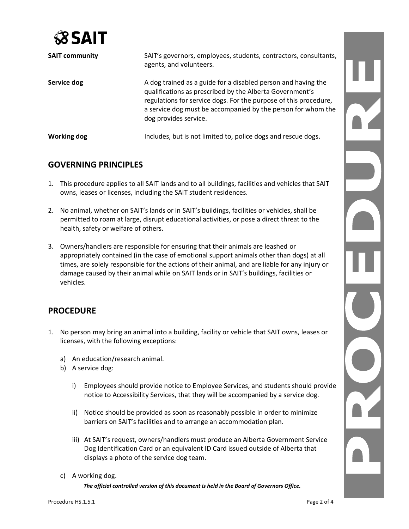

| <b>SAIT community</b> | SAIT's governors, employees, students, contractors, consultants,<br>agents, and volunteers.                                                                                                                                                                                            |
|-----------------------|----------------------------------------------------------------------------------------------------------------------------------------------------------------------------------------------------------------------------------------------------------------------------------------|
| Service dog           | A dog trained as a guide for a disabled person and having the<br>qualifications as prescribed by the Alberta Government's<br>regulations for service dogs. For the purpose of this procedure,<br>a service dog must be accompanied by the person for whom the<br>dog provides service. |
| <b>Working dog</b>    | Includes, but is not limited to, police dogs and rescue dogs.                                                                                                                                                                                                                          |

### **GOVERNING PRINCIPLES**

- 1. This procedure applies to all SAIT lands and to all buildings, facilities and vehicles that SAIT owns, leases or licenses, including the SAIT student residences.
- 2. No animal, whether on SAIT's lands or in SAIT's buildings, facilities or vehicles, shall be permitted to roam at large, disrupt educational activities, or pose a direct threat to the health, safety or welfare of others.
- 3. Owners/handlers are responsible for ensuring that their animals are leashed or appropriately contained (in the case of emotional support animals other than dogs) at all times, are solely responsible for the actions of their animal, and are liable for any injury or damage caused by their animal while on SAIT lands or in SAIT's buildings, facilities or vehicles.

## **PROCEDURE**

- 1. No person may bring an animal into a building, facility or vehicle that SAIT owns, leases or licenses, with the following exceptions:
	- a) An education/research animal.
	- b) A service dog:
		- i) Employees should provide notice to Employee Services, and students should provide notice to Accessibility Services, that they will be accompanied by a service dog.
		- ii) Notice should be provided as soon as reasonably possible in order to minimize barriers on SAIT's facilities and to arrange an accommodation plan.
		- iii) At SAIT's request, owners/handlers must produce an Alberta Government Service Dog Identification Card or an equivalent ID Card issued outside of Alberta that displays a photo of the service dog team.
	- c) A working dog.

*The official controlled version of this document is held in the Board of Governors Office.*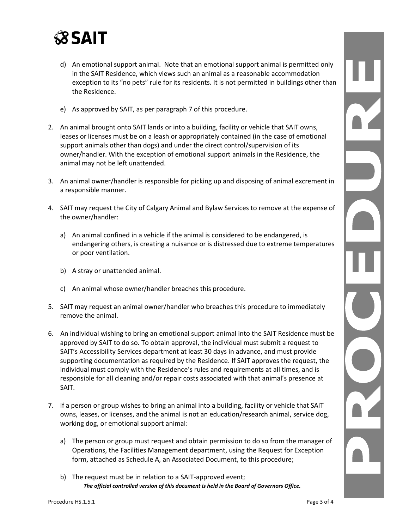

- d) An emotional support animal. Note that an emotional support animal is permitted only in the SAIT Residence, which views such an animal as a reasonable accommodation exception to its "no pets" rule for its residents. It is not permitted in buildings other than the Residence.
- e) As approved by SAIT, as per paragraph 7 of this procedure.
- 2. An animal brought onto SAIT lands or into a building, facility or vehicle that SAIT owns, leases or licenses must be on a leash or appropriately contained (in the case of emotional support animals other than dogs) and under the direct control/supervision of its owner/handler. With the exception of emotional support animals in the Residence, the animal may not be left unattended.
- 3. An animal owner/handler is responsible for picking up and disposing of animal excrement in a responsible manner.
- 4. SAIT may request the City of Calgary Animal and Bylaw Services to remove at the expense of the owner/handler:
	- a) An animal confined in a vehicle if the animal is considered to be endangered, is endangering others, is creating a nuisance or is distressed due to extreme temperatures or poor ventilation.
	- b) A stray or unattended animal.
	- c) An animal whose owner/handler breaches this procedure.
- 5. SAIT may request an animal owner/handler who breaches this procedure to immediately remove the animal.
- 6. An individual wishing to bring an emotional support animal into the SAIT Residence must be approved by SAIT to do so. To obtain approval, the individual must submit a request to SAIT's Accessibility Services department at least 30 days in advance, and must provide supporting documentation as required by the Residence. If SAIT approves the request, the individual must comply with the Residence's rules and requirements at all times, and is responsible for all cleaning and/or repair costs associated with that animal's presence at SAIT.
- 7. If a person or group wishes to bring an animal into a building, facility or vehicle that SAIT owns, leases, or licenses, and the animal is not an education/research animal, service dog, working dog, or emotional support animal:
	- a) The person or group must request and obtain permission to do so from the manager of Operations, the Facilities Management department, using the Request for Exception form, attached as Schedule A, an Associated Document, to this procedure;
	- *The official controlled version of this document is held in the Board of Governors Office.* b) The request must be in relation to a SAIT-approved event;